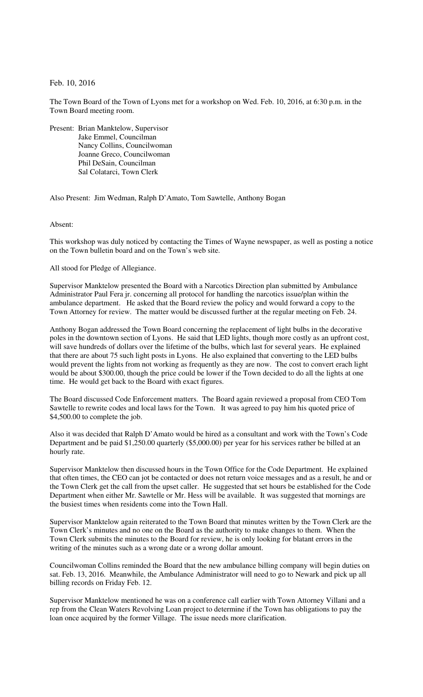## Feb. 10, 2016

The Town Board of the Town of Lyons met for a workshop on Wed. Feb. 10, 2016, at 6:30 p.m. in the Town Board meeting room.

Present: Brian Manktelow, Supervisor Jake Emmel, Councilman Nancy Collins, Councilwoman Joanne Greco, Councilwoman Phil DeSain, Councilman Sal Colatarci, Town Clerk

Also Present: Jim Wedman, Ralph D'Amato, Tom Sawtelle, Anthony Bogan

## Absent:

This workshop was duly noticed by contacting the Times of Wayne newspaper, as well as posting a notice on the Town bulletin board and on the Town's web site.

## All stood for Pledge of Allegiance.

Supervisor Manktelow presented the Board with a Narcotics Direction plan submitted by Ambulance Administrator Paul Fera jr. concerning all protocol for handling the narcotics issue/plan within the ambulance department. He asked that the Board review the policy and would forward a copy to the Town Attorney for review. The matter would be discussed further at the regular meeting on Feb. 24.

Anthony Bogan addressed the Town Board concerning the replacement of light bulbs in the decorative poles in the downtown section of Lyons. He said that LED lights, though more costly as an upfront cost, will save hundreds of dollars over the lifetime of the bulbs, which last for several years. He explained that there are about 75 such light posts in Lyons. He also explained that converting to the LED bulbs would prevent the lights from not working as frequently as they are now. The cost to convert erach light would be about \$300.00, though the price could be lower if the Town decided to do all the lights at one time. He would get back to the Board with exact figures.

The Board discussed Code Enforcement matters. The Board again reviewed a proposal from CEO Tom Sawtelle to rewrite codes and local laws for the Town. It was agreed to pay him his quoted price of \$4,500.00 to complete the job.

Also it was decided that Ralph D'Amato would be hired as a consultant and work with the Town's Code Department and be paid \$1,250.00 quarterly (\$5,000.00) per year for his services rather be billed at an hourly rate.

Supervisor Manktelow then discussed hours in the Town Office for the Code Department. He explained that often times, the CEO can jot be contacted or does not return voice messages and as a result, he and or the Town Clerk get the call from the upset caller. He suggested that set hours be established for the Code Department when either Mr. Sawtelle or Mr. Hess will be available. It was suggested that mornings are the busiest times when residents come into the Town Hall.

Supervisor Manktelow again reiterated to the Town Board that minutes written by the Town Clerk are the Town Clerk's minutes and no one on the Board as the authority to make changes to them. When the Town Clerk submits the minutes to the Board for review, he is only looking for blatant errors in the writing of the minutes such as a wrong date or a wrong dollar amount.

Councilwoman Collins reminded the Board that the new ambulance billing company will begin duties on sat. Feb. 13, 2016. Meanwhile, the Ambulance Administrator will need to go to Newark and pick up all billing records on Friday Feb. 12.

Supervisor Manktelow mentioned he was on a conference call earlier with Town Attorney Villani and a rep from the Clean Waters Revolving Loan project to determine if the Town has obligations to pay the loan once acquired by the former Village. The issue needs more clarification.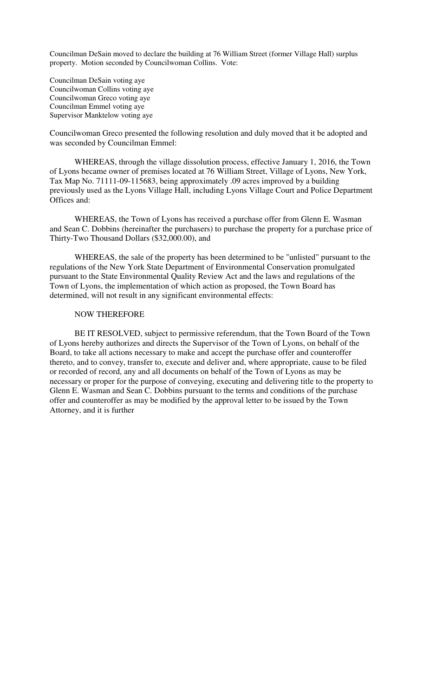Councilman DeSain moved to declare the building at 76 William Street (former Village Hall) surplus property. Motion seconded by Councilwoman Collins. Vote:

Councilman DeSain voting aye Councilwoman Collins voting aye Councilwoman Greco voting aye Councilman Emmel voting aye Supervisor Manktelow voting aye

Councilwoman Greco presented the following resolution and duly moved that it be adopted and was seconded by Councilman Emmel:

WHEREAS, through the village dissolution process, effective January 1, 2016, the Town of Lyons became owner of premises located at 76 William Street, Village of Lyons, New York, Tax Map No. 71111-09-115683, being approximately .09 acres improved by a building previously used as the Lyons Village Hall, including Lyons Village Court and Police Department Offices and:

WHEREAS, the Town of Lyons has received a purchase offer from Glenn E. Wasman and Sean C. Dobbins (hereinafter the purchasers) to purchase the property for a purchase price of Thirty-Two Thousand Dollars (\$32,000.00), and

WHEREAS, the sale of the property has been determined to be "unlisted" pursuant to the regulations of the New York State Department of Environmental Conservation promulgated pursuant to the State Environmental Quality Review Act and the laws and regulations of the Town of Lyons, the implementation of which action as proposed, the Town Board has determined, will not result in any significant environmental effects:

## NOW THEREFORE

BE IT RESOLVED, subject to permissive referendum, that the Town Board of the Town of Lyons hereby authorizes and directs the Supervisor of the Town of Lyons, on behalf of the Board, to take all actions necessary to make and accept the purchase offer and counteroffer thereto, and to convey, transfer to, execute and deliver and, where appropriate, cause to be filed or recorded of record, any and all documents on behalf of the Town of Lyons as may be necessary or proper for the purpose of conveying, executing and delivering title to the property to Glenn E. Wasman and Sean C. Dobbins pursuant to the terms and conditions of the purchase offer and counteroffer as may be modified by the approval letter to be issued by the Town Attorney, and it is further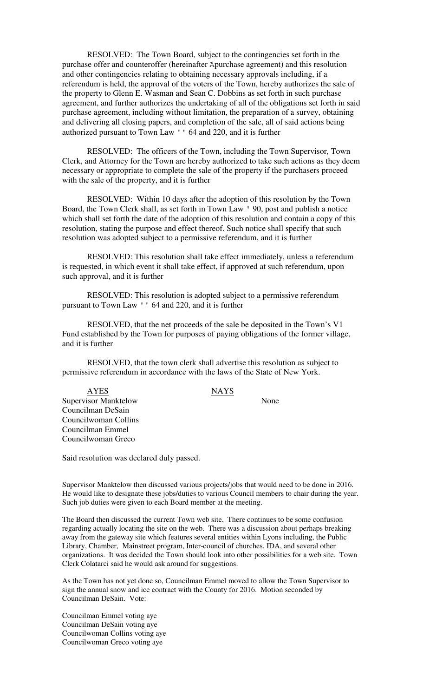RESOLVED: The Town Board, subject to the contingencies set forth in the purchase offer and counteroffer (hereinafter Apurchase agreement) and this resolution and other contingencies relating to obtaining necessary approvals including, if a referendum is held, the approval of the voters of the Town, hereby authorizes the sale of the property to Glenn E. Wasman and Sean C. Dobbins as set forth in such purchase agreement, and further authorizes the undertaking of all of the obligations set forth in said purchase agreement, including without limitation, the preparation of a survey, obtaining and delivering all closing papers, and completion of the sale, all of said actions being authorized pursuant to Town Law '' 64 and 220, and it is further

RESOLVED: The officers of the Town, including the Town Supervisor, Town Clerk, and Attorney for the Town are hereby authorized to take such actions as they deem necessary or appropriate to complete the sale of the property if the purchasers proceed with the sale of the property, and it is further

RESOLVED: Within 10 days after the adoption of this resolution by the Town Board, the Town Clerk shall, as set forth in Town Law ' 90, post and publish a notice which shall set forth the date of the adoption of this resolution and contain a copy of this resolution, stating the purpose and effect thereof. Such notice shall specify that such resolution was adopted subject to a permissive referendum, and it is further

RESOLVED: This resolution shall take effect immediately, unless a referendum is requested, in which event it shall take effect, if approved at such referendum, upon such approval, and it is further

RESOLVED: This resolution is adopted subject to a permissive referendum pursuant to Town Law '' 64 and 220, and it is further

RESOLVED, that the net proceeds of the sale be deposited in the Town's V1 Fund established by the Town for purposes of paying obligations of the former village, and it is further

RESOLVED, that the town clerk shall advertise this resolution as subject to permissive referendum in accordance with the laws of the State of New York.

AYES NAYS Supervisor Manktelow None Councilman DeSain Councilwoman Collins Councilman Emmel Councilwoman Greco

Said resolution was declared duly passed.

Supervisor Manktelow then discussed various projects/jobs that would need to be done in 2016. He would like to designate these jobs/duties to various Council members to chair during the year. Such job duties were given to each Board member at the meeting.

The Board then discussed the current Town web site. There continues to be some confusion regarding actually locating the site on the web. There was a discussion about perhaps breaking away from the gateway site which features several entities within Lyons including, the Public Library, Chamber, Mainstreet program, Inter-council of churches, IDA, and several other organizations. It was decided the Town should look into other possibilities for a web site. Town Clerk Colatarci said he would ask around for suggestions.

As the Town has not yet done so, Councilman Emmel moved to allow the Town Supervisor to sign the annual snow and ice contract with the County for 2016. Motion seconded by Councilman DeSain. Vote:

Councilman Emmel voting aye Councilman DeSain voting aye Councilwoman Collins voting aye Councilwoman Greco voting aye